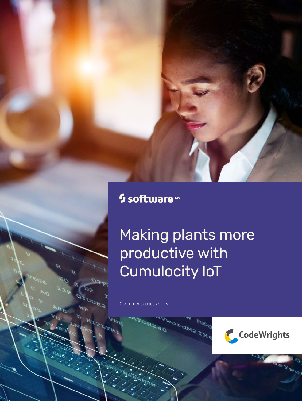## <sup>5</sup> software<sup>46</sup>

# Making plants more productive with Cumulocity IoT

Customer success story

¢

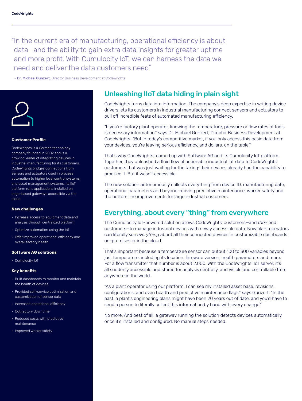"In the current era of manufacturing, operational efficiency is about data—and the ability to gain extra data insights for greater uptime and more profit. With Cumulocity IoT, we can harness the data we need and deliver the data customers need"

– Dr. Michael Gunzert, Director Business Development at CodeWrights



#### **Customer Profile**

CodeWrights is a German technology company founded in 2002 and is a growing leader of integrating devices in industrial manufacturing for its customers. CodeWrights bridges connections from sensors and actuators used in process automation to higher level control systems, and asset management systems. Its IIoT platform runs applications installed on edge-based gateways accessible via the cloud.

#### **New challenges**

- Increase access to equipment data and analysis through centralized platform
- Optimize automation using the IoT
- Offer improved operational efficiency and overall factory health

#### **Software AG solutions**

• Cumulocity IoT

#### **Key benefits**

- Built dashboards to monitor and maintain the health of devices
- Provided self-service optimization and customization of sensor data
- Increased operational efficiency
- Cut factory downtime
- Reduced costs with predictive maintenance
- Improved worker safety

## Unleashing IIoT data hiding in plain sight

CodeWrights turns data into information. The company's deep expertise in writing device drivers lets its customers in industrial manufacturing connect sensors and actuators to pull off incredible feats of automated manufacturing efficiency.

"If you're factory plant operator, knowing the temperature, pressure or flow rates of tools is necessary information," says Dr. Michael Gunzert, Director Business Development at CodeWrights. "But in today's competitive market, if you only access this basic data from your devices, you're leaving serious efficiency, and dollars, on the table."

That's why CodeWrights teamed up with Software AG and its Cumulocity IoT platform. Together, they unleashed a fluid flow of actionable industrial IoT data to CodeWrights' customers that was just waiting for the taking: their devices already had the capability to produce it. But it wasn't accessible.

The new solution autonomously collects everything from device ID, manufacturing date, operational parameters and beyond—driving predictive maintenance, worker safety and the bottom line improvements for large industrial customers.

## Everything, about every "thing" from everywhere

The Cumulocity IoT-powered solution allows CodeWrights' customers—and *their* end customers—to manage industrial devices with newly accessible data. Now plant operators can literally *see everything* about all their connected devices in customizable dashboards on-premises or in the cloud.

That's important because a temperature sensor can output 100 to 300 variables beyond just temperature, including its location, firmware version, health parameters and more. For a flow transmitter that number is about 2,000. With the CodeWrights IIoT server, it's all suddenly accessible and stored for analysis centrally, and visible and controllable from anywhere in the world.

"As a plant operator using our platform, I can see my installed asset base, revisions, configurations, and even health and predictive maintenance flags," says Gunzert. "In the past, a plant's engineering plans might have been 20 years out of date, and you'd have to send a person to literally collect this information by hand with every change."

No more. And best of all, a gateway running the solution detects devices automatically once it's installed and configured. No manual steps needed.